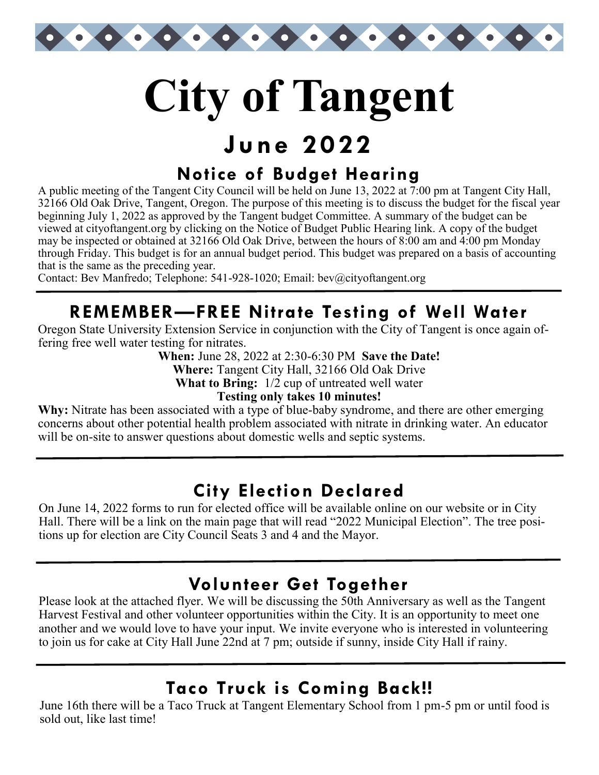

# **City of Tangent**

# **June 2022**

## **Notice of Budget Hearing**

A public meeting of the Tangent City Council will be held on June 13, 2022 at 7:00 pm at Tangent City Hall, 32166 Old Oak Drive, Tangent, Oregon. The purpose of this meeting is to discuss the budget for the fiscal year beginning July 1, 2022 as approved by the Tangent budget Committee. A summary of the budget can be viewed at cityoftangent.org by clicking on the Notice of Budget Public Hearing link. A copy of the budget may be inspected or obtained at 32166 Old Oak Drive, between the hours of 8:00 am and 4:00 pm Monday through Friday. This budget is for an annual budget period. This budget was prepared on a basis of accounting that is the same as the preceding year.

Contact: Bev Manfredo; Telephone: 541-928-1020; Email: bev@cityoftangent.org

## **REMEMBER—FREE Nitrate Testing of Well Water**

Oregon State University Extension Service in conjunction with the City of Tangent is once again offering free well water testing for nitrates.

**When:** June 28, 2022 at 2:30-6:30 PM **Save the Date!**

**Where:** Tangent City Hall, 32166 Old Oak Drive

**What to Bring:** 1/2 cup of untreated well water

#### **Testing only takes 10 minutes!**

**Why:** Nitrate has been associated with a type of blue-baby syndrome, and there are other emerging concerns about other potential health problem associated with nitrate in drinking water. An educator will be on-site to answer questions about domestic wells and septic systems.

## **City Election Declared**

On June 14, 2022 forms to run for elected office will be available online on our website or in City Hall. There will be a link on the main page that will read "2022 Municipal Election". The tree positions up for election are City Council Seats 3 and 4 and the Mayor.

## **Volunteer Get Together**

Please look at the attached flyer. We will be discussing the 50th Anniversary as well as the Tangent Harvest Festival and other volunteer opportunities within the City. It is an opportunity to meet one another and we would love to have your input. We invite everyone who is interested in volunteering to join us for cake at City Hall June 22nd at 7 pm; outside if sunny, inside City Hall if rainy.

## **Taco Truck is Coming Back!!**

June 16th there will be a Taco Truck at Tangent Elementary School from 1 pm-5 pm or until food is sold out, like last time!